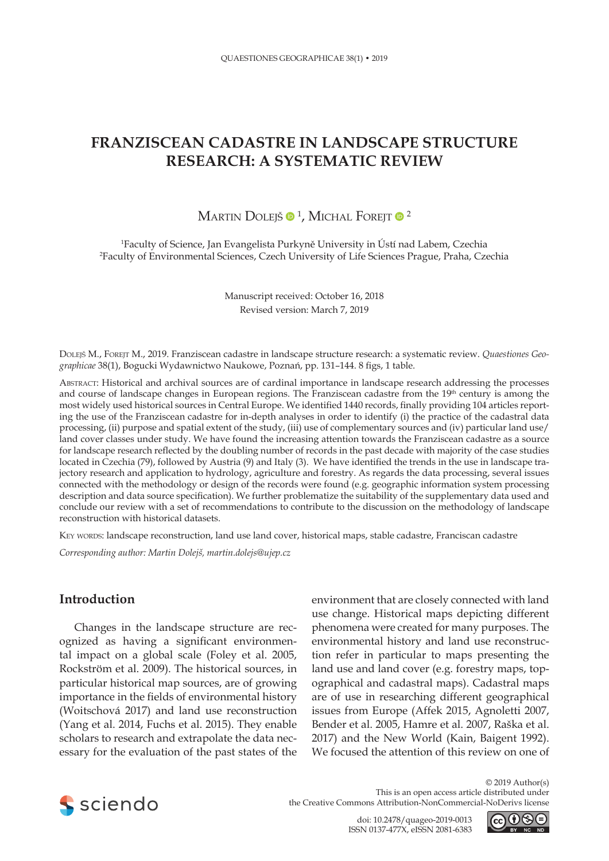# **FRANZISCEAN CADASTRE IN LANDSCAPE STRUCTURE RESEARCH: A SYSTEMATIC REVIEW**

# Martin Dolejš  $\mathbf{0}$  <sup>1</sup>, Michal Forejt  $\mathbf{0}$   $^2$

1 Faculty of Science, Jan Evangelista Purkyně University in Ústí nad Labem, Czechia 2 Faculty of Environmental Sciences, Czech University of Life Sciences Prague, Praha, Czechia

> Manuscript received: October 16, 2018 Revised version: March 7, 2019

Dolejš M., Forejt M., 2019. Franziscean cadastre in landscape structure research: a systematic review. *Quaestiones Geographicae* 38(1), Bogucki Wydawnictwo Naukowe, Poznań, pp. 131–144. 8 figs, 1 table.

Abstract: Historical and archival sources are of cardinal importance in landscape research addressing the processes and course of landscape changes in European regions. The Franziscean cadastre from the 19<sup>th</sup> century is among the most widely used historical sources in Central Europe. We identified 1440 records, finally providing 104 articles reporting the use of the Franziscean cadastre for in-depth analyses in order to identify (i) the practice of the cadastral data processing, (ii) purpose and spatial extent of the study, (iii) use of complementary sources and (iv) particular land use/ land cover classes under study. We have found the increasing attention towards the Franziscean cadastre as a source for landscape research reflected by the doubling number of records in the past decade with majority of the case studies located in Czechia (79), followed by Austria (9) and Italy (3). We have identified the trends in the use in landscape trajectory research and application to hydrology, agriculture and forestry. As regards the data processing, several issues connected with the methodology or design of the records were found (e.g. geographic information system processing description and data source specification). We further problematize the suitability of the supplementary data used and conclude our review with a set of recommendations to contribute to the discussion on the methodology of landscape reconstruction with historical datasets.

KEY WORDS: landscape reconstruction, land use land cover, historical maps, stable cadastre, Franciscan cadastre

*Corresponding author: Martin Dolejš, martin.dolejs@ujep.cz*

# **Introduction**

Changes in the landscape structure are recognized as having a significant environmental impact on a global scale (Foley et al. 2005, Rockström et al. 2009). The historical sources, in particular historical map sources, are of growing importance in the fields of environmental history (Woitschová 2017) and land use reconstruction (Yang et al. 2014, Fuchs et al. 2015). They enable scholars to research and extrapolate the data necessary for the evaluation of the past states of the

environment that are closely connected with land use change. Historical maps depicting different phenomena were created for many purposes. The environmental history and land use reconstruction refer in particular to maps presenting the land use and land cover (e.g. forestry maps, topographical and cadastral maps). Cadastral maps are of use in researching different geographical issues from Europe (Affek 2015, Agnoletti 2007, Bender et al. 2005, Hamre et al. 2007, Raška et al. 2017) and the New World (Kain, Baigent 1992). We focused the attention of this review on one of



© 2019 Author(s) This is an open access article distributed under the Creative Commons Attribution-NonCommercial-NoDerivs license

> doi: 10.2478/quageo-2019-0013 ISSN 0137-477X, eISSN 2081-6383

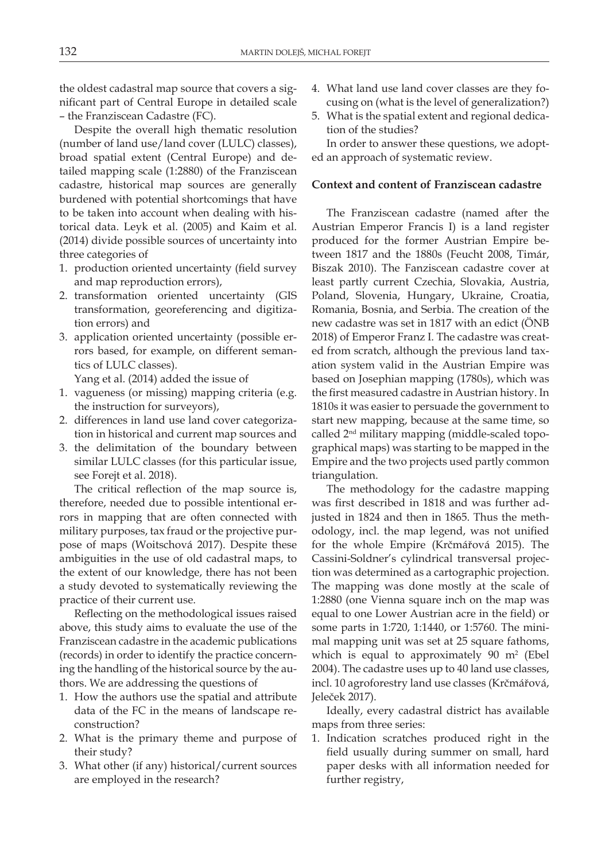the oldest cadastral map source that covers a significant part of Central Europe in detailed scale – the Franziscean Cadastre (FC).

Despite the overall high thematic resolution (number of land use/land cover (LULC) classes), broad spatial extent (Central Europe) and detailed mapping scale (1:2880) of the Franziscean cadastre, historical map sources are generally burdened with potential shortcomings that have to be taken into account when dealing with historical data. Leyk et al. (2005) and Kaim et al. (2014) divide possible sources of uncertainty into three categories of

- 1. production oriented uncertainty (field survey and map reproduction errors),
- 2. transformation oriented uncertainty (GIS transformation, georeferencing and digitization errors) and
- 3. application oriented uncertainty (possible errors based, for example, on different semantics of LULC classes).
	- Yang et al. (2014) added the issue of
- 1. vagueness (or missing) mapping criteria (e.g. the instruction for surveyors),
- 2. differences in land use land cover categorization in historical and current map sources and
- 3. the delimitation of the boundary between similar LULC classes (for this particular issue, see Forejt et al. 2018).

The critical reflection of the map source is, therefore, needed due to possible intentional errors in mapping that are often connected with military purposes, tax fraud or the projective purpose of maps (Woitschová 2017). Despite these ambiguities in the use of old cadastral maps, to the extent of our knowledge, there has not been a study devoted to systematically reviewing the practice of their current use.

Reflecting on the methodological issues raised above, this study aims to evaluate the use of the Franziscean cadastre in the academic publications (records) in order to identify the practice concerning the handling of the historical source by the authors. We are addressing the questions of

- 1. How the authors use the spatial and attribute data of the FC in the means of landscape reconstruction?
- 2. What is the primary theme and purpose of their study?
- 3. What other (if any) historical/current sources are employed in the research?
- 4. What land use land cover classes are they focusing on (what is the level of generalization?)
- 5. What is the spatial extent and regional dedication of the studies?

In order to answer these questions, we adopted an approach of systematic review.

### **Context and content of Franziscean cadastre**

The Franziscean cadastre (named after the Austrian Emperor Francis I) is a land register produced for the former Austrian Empire between 1817 and the 1880s (Feucht 2008, Timár, Biszak 2010). The Fanziscean cadastre cover at least partly current Czechia, Slovakia, Austria, Poland, Slovenia, Hungary, Ukraine, Croatia, Romania, Bosnia, and Serbia. The creation of the new cadastre was set in 1817 with an edict (ÖNB 2018) of Emperor Franz I. The cadastre was created from scratch, although the previous land taxation system valid in the Austrian Empire was based on Josephian mapping (1780s), which was the first measured cadastre in Austrian history. In 1810s it was easier to persuade the government to start new mapping, because at the same time, so called 2nd military mapping (middle-scaled topographical maps) was starting to be mapped in the Empire and the two projects used partly common triangulation.

The methodology for the cadastre mapping was first described in 1818 and was further adjusted in 1824 and then in 1865. Thus the methodology, incl. the map legend, was not unified for the whole Empire (Krčmářová 2015). The Cassini-Soldner's cylindrical transversal projection was determined as a cartographic projection. The mapping was done mostly at the scale of 1:2880 (one Vienna square inch on the map was equal to one Lower Austrian acre in the field) or some parts in 1:720, 1:1440, or 1:5760. The minimal mapping unit was set at 25 square fathoms, which is equal to approximately  $90 \text{ m}^2$  (Ebel 2004). The cadastre uses up to 40 land use classes, incl. 10 agroforestry land use classes (Krčmářová, Jeleček 2017).

Ideally, every cadastral district has available maps from three series:

1. Indication scratches produced right in the field usually during summer on small, hard paper desks with all information needed for further registry,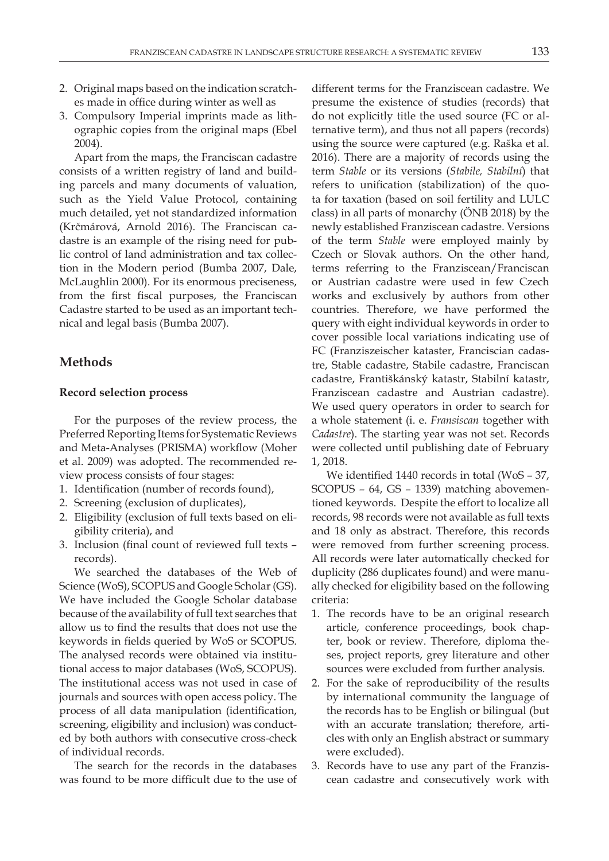- 2. Original maps based on the indication scratches made in office during winter as well as
- 3. Compulsory Imperial imprints made as lithographic copies from the original maps (Ebel 2004).

Apart from the maps, the Franciscan cadastre consists of a written registry of land and building parcels and many documents of valuation, such as the Yield Value Protocol, containing much detailed, yet not standardized information (Krčmárová, Arnold 2016). The Franciscan cadastre is an example of the rising need for public control of land administration and tax collection in the Modern period (Bumba 2007, Dale, McLaughlin 2000). For its enormous preciseness, from the first fiscal purposes, the Franciscan Cadastre started to be used as an important technical and legal basis (Bumba 2007).

## **Methods**

### **Record selection process**

For the purposes of the review process, the Preferred Reporting Items for Systematic Reviews and Meta-Analyses (PRISMA) workflow (Moher et al. 2009) was adopted. The recommended review process consists of four stages:

- 1. Identification (number of records found),
- 2. Screening (exclusion of duplicates),
- 2. Eligibility (exclusion of full texts based on eligibility criteria), and
- 3. Inclusion (final count of reviewed full texts records).

We searched the databases of the Web of Science (WoS), SCOPUS and Google Scholar (GS). We have included the Google Scholar database because of the availability of full text searches that allow us to find the results that does not use the keywords in fields queried by WoS or SCOPUS. The analysed records were obtained via institutional access to major databases (WoS, SCOPUS). The institutional access was not used in case of journals and sources with open access policy. The process of all data manipulation (identification, screening, eligibility and inclusion) was conducted by both authors with consecutive cross-check of individual records.

The search for the records in the databases was found to be more difficult due to the use of

different terms for the Franziscean cadastre. We presume the existence of studies (records) that do not explicitly title the used source (FC or alternative term), and thus not all papers (records) using the source were captured (e.g. Raška et al. 2016). There are a majority of records using the term *Stable* or its versions (*Stabile, Stabilní*) that refers to unification (stabilization) of the quota for taxation (based on soil fertility and LULC class) in all parts of monarchy (ÖNB 2018) by the newly established Franziscean cadastre. Versions of the term *Stable* were employed mainly by Czech or Slovak authors. On the other hand, terms referring to the Franziscean/Franciscan or Austrian cadastre were used in few Czech works and exclusively by authors from other countries. Therefore, we have performed the query with eight individual keywords in order to cover possible local variations indicating use of FC (Franziszeischer kataster, Franciscian cadastre, Stable cadastre, Stabile cadastre, Franciscan cadastre, Františkánský katastr, Stabilní katastr, Franziscean cadastre and Austrian cadastre). We used query operators in order to search for a whole statement (i. e. *Fransiscan* together with *Cadastre*). The starting year was not set. Records were collected until publishing date of February 1, 2018.

We identified 1440 records in total (WoS – 37, SCOPUS – 64, GS – 1339) matching abovementioned keywords. Despite the effort to localize all records, 98 records were not available as full texts and 18 only as abstract. Therefore, this records were removed from further screening process. All records were later automatically checked for duplicity (286 duplicates found) and were manually checked for eligibility based on the following criteria:

- 1. The records have to be an original research article, conference proceedings, book chapter, book or review. Therefore, diploma theses, project reports, grey literature and other sources were excluded from further analysis.
- 2. For the sake of reproducibility of the results by international community the language of the records has to be English or bilingual (but with an accurate translation; therefore, articles with only an English abstract or summary were excluded).
- 3. Records have to use any part of the Franziscean cadastre and consecutively work with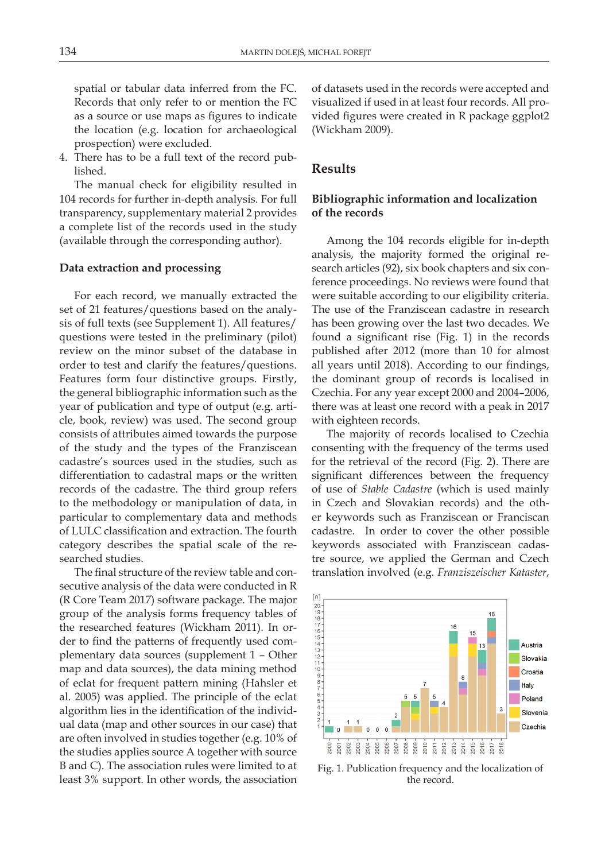spatial or tabular data inferred from the FC. Records that only refer to or mention the FC as a source or use maps as figures to indicate the location (e.g. location for archaeological prospection) were excluded.

4. There has to be a full text of the record published.

The manual check for eligibility resulted in 104 records for further in-depth analysis. For full transparency, supplementary material 2 provides a complete list of the records used in the study (available through the corresponding author).

#### **Data extraction and processing**

For each record, we manually extracted the set of 21 features/questions based on the analysis of full texts (see Supplement 1). All features/ questions were tested in the preliminary (pilot) review on the minor subset of the database in order to test and clarify the features/questions. Features form four distinctive groups. Firstly, the general bibliographic information such as the year of publication and type of output (e.g. article, book, review) was used. The second group consists of attributes aimed towards the purpose of the study and the types of the Franziscean cadastre's sources used in the studies, such as differentiation to cadastral maps or the written records of the cadastre. The third group refers to the methodology or manipulation of data, in particular to complementary data and methods of LULC classification and extraction. The fourth category describes the spatial scale of the researched studies.

The final structure of the review table and consecutive analysis of the data were conducted in R (R Core Team 2017) software package. The major group of the analysis forms frequency tables of the researched features (Wickham 2011). In order to find the patterns of frequently used complementary data sources (supplement 1 – Other map and data sources), the data mining method of eclat for frequent pattern mining (Hahsler et al. 2005) was applied. The principle of the eclat algorithm lies in the identification of the individual data (map and other sources in our case) that are often involved in studies together (e.g. 10% of the studies applies source A together with source B and C). The association rules were limited to at least 3% support. In other words, the association

of datasets used in the records were accepted and visualized if used in at least four records. All provided figures were created in R package ggplot2 (Wickham 2009).

### **Results**

# **Bibliographic information and localization of the records**

Among the 104 records eligible for in-depth analysis, the majority formed the original research articles (92), six book chapters and six conference proceedings. No reviews were found that were suitable according to our eligibility criteria. The use of the Franziscean cadastre in research has been growing over the last two decades. We found a significant rise (Fig. 1) in the records published after 2012 (more than 10 for almost all years until 2018). According to our findings, the dominant group of records is localised in Czechia. For any year except 2000 and 2004–2006, there was at least one record with a peak in 2017 with eighteen records.

The majority of records localised to Czechia consenting with the frequency of the terms used for the retrieval of the record (Fig. 2). There are significant differences between the frequency of use of *Stable Cadastre* (which is used mainly in Czech and Slovakian records) and the other keywords such as Franziscean or Franciscan cadastre. In order to cover the other possible keywords associated with Franziscean cadastre source, we applied the German and Czech translation involved (e.g. *Franziszeischer Kataster*,



Fig. 1. Publication frequency and the localization of the record.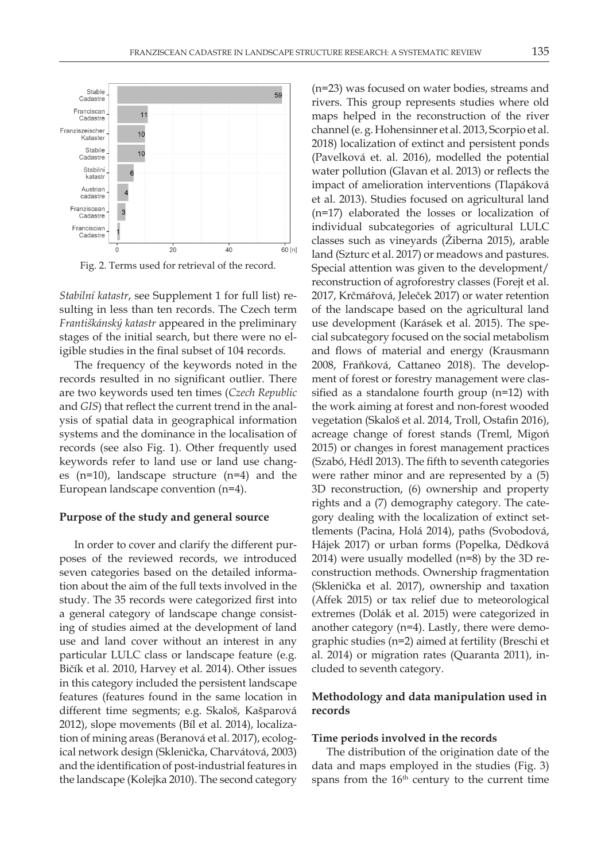

Fig. 2. Terms used for retrieval of the record.

*Stabilní katastr*, see Supplement 1 for full list) resulting in less than ten records. The Czech term *Františkánský katastr* appeared in the preliminary stages of the initial search, but there were no eligible studies in the final subset of 104 records.

The frequency of the keywords noted in the records resulted in no significant outlier. There are two keywords used ten times (*Czech Republic* and *GIS*) that reflect the current trend in the analysis of spatial data in geographical information systems and the dominance in the localisation of records (see also Fig. 1). Other frequently used keywords refer to land use or land use changes (n=10), landscape structure (n=4) and the European landscape convention (n=4).

#### **Purpose of the study and general source**

In order to cover and clarify the different purposes of the reviewed records, we introduced seven categories based on the detailed information about the aim of the full texts involved in the study. The 35 records were categorized first into a general category of landscape change consisting of studies aimed at the development of land use and land cover without an interest in any particular LULC class or landscape feature (e.g. Bičík et al. 2010, Harvey et al. 2014). Other issues in this category included the persistent landscape features (features found in the same location in different time segments; e.g. Skaloš, Kašparová 2012), slope movements (Bíl et al. 2014), localization of mining areas (Beranová et al. 2017), ecological network design (Sklenička, Charvátová, 2003) and the identification of post-industrial features in the landscape (Kolejka 2010). The second category

(n=23) was focused on water bodies, streams and rivers. This group represents studies where old maps helped in the reconstruction of the river channel (e. g. Hohensinner et al. 2013, Scorpio et al. 2018) localization of extinct and persistent ponds (Pavelková et. al. 2016), modelled the potential water pollution (Glavan et al. 2013) or reflects the impact of amelioration interventions (Tlapáková et al. 2013). Studies focused on agricultural land (n=17) elaborated the losses or localization of individual subcategories of agricultural LULC classes such as vineyards (Žiberna 2015), arable land (Szturc et al. 2017) or meadows and pastures. Special attention was given to the development/ reconstruction of agroforestry classes (Forejt et al. 2017, Krčmářová, Jeleček 2017) or water retention of the landscape based on the agricultural land use development (Karásek et al. 2015). The special subcategory focused on the social metabolism and flows of material and energy (Krausmann 2008, Fraňková, Cattaneo 2018). The development of forest or forestry management were classified as a standalone fourth group (n=12) with the work aiming at forest and non-forest wooded vegetation (Skaloš et al. 2014, Troll, Ostafin 2016), acreage change of forest stands (Treml, Migoń 2015) or changes in forest management practices (Szabó, Hédl 2013). The fifth to seventh categories were rather minor and are represented by a (5) 3D reconstruction, (6) ownership and property rights and a (7) demography category. The category dealing with the localization of extinct settlements (Pacina, Holá 2014), paths (Svobodová, Hájek 2017) or urban forms (Popelka, Dědková 2014) were usually modelled (n=8) by the 3D reconstruction methods. Ownership fragmentation (Sklenička et al. 2017), ownership and taxation (Affek 2015) or tax relief due to meteorological extremes (Dolák et al. 2015) were categorized in another category (n=4). Lastly, there were demographic studies (n=2) aimed at fertility (Breschi et al. 2014) or migration rates (Quaranta 2011), included to seventh category.

## **Methodology and data manipulation used in records**

#### **Time periods involved in the records**

The distribution of the origination date of the data and maps employed in the studies (Fig. 3) spans from the  $16<sup>th</sup>$  century to the current time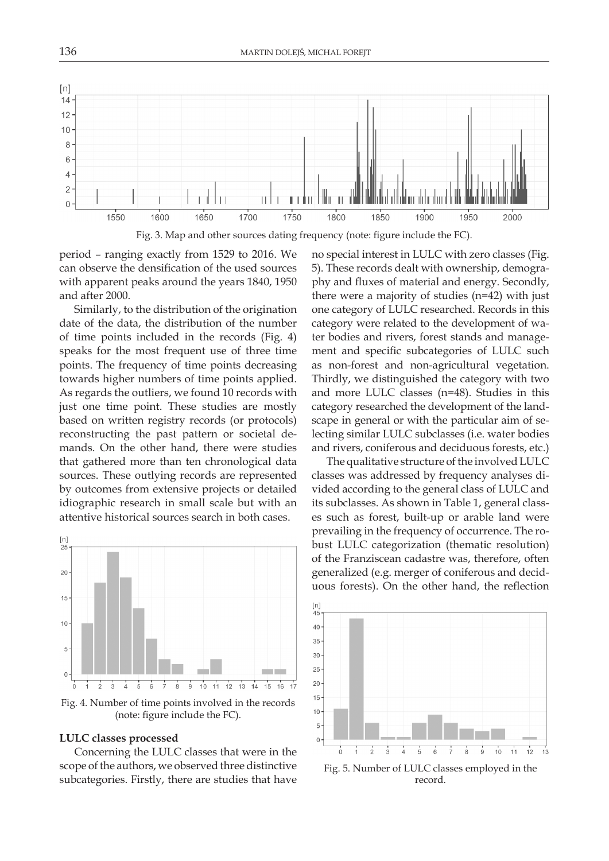

period – ranging exactly from 1529 to 2016. We can observe the densification of the used sources with apparent peaks around the years 1840, 1950 and after 2000.

Similarly, to the distribution of the origination date of the data, the distribution of the number of time points included in the records (Fig. 4) speaks for the most frequent use of three time points. The frequency of time points decreasing towards higher numbers of time points applied. As regards the outliers, we found 10 records with just one time point. These studies are mostly based on written registry records (or protocols) reconstructing the past pattern or societal demands. On the other hand, there were studies that gathered more than ten chronological data sources. These outlying records are represented by outcomes from extensive projects or detailed idiographic research in small scale but with an attentive historical sources search in both cases.



Fig. 4. Number of time points involved in the records (note: figure include the FC).

#### **LULC classes processed**

Concerning the LULC classes that were in the scope of the authors, we observed three distinctive subcategories. Firstly, there are studies that have

no special interest in LULC with zero classes (Fig. 5). These records dealt with ownership, demography and fluxes of material and energy. Secondly, there were a majority of studies (n=42) with just one category of LULC researched. Records in this category were related to the development of water bodies and rivers, forest stands and management and specific subcategories of LULC such as non-forest and non-agricultural vegetation. Thirdly, we distinguished the category with two and more LULC classes (n=48). Studies in this category researched the development of the landscape in general or with the particular aim of selecting similar LULC subclasses (i.e. water bodies and rivers, coniferous and deciduous forests, etc.)

The qualitative structure of the involved LULC classes was addressed by frequency analyses divided according to the general class of LULC and its subclasses. As shown in Table 1, general classes such as forest, built-up or arable land were prevailing in the frequency of occurrence. The robust LULC categorization (thematic resolution) of the Franziscean cadastre was, therefore, often generalized (e.g. merger of coniferous and deciduous forests). On the other hand, the reflection



Fig. 5. Number of LULC classes employed in the record.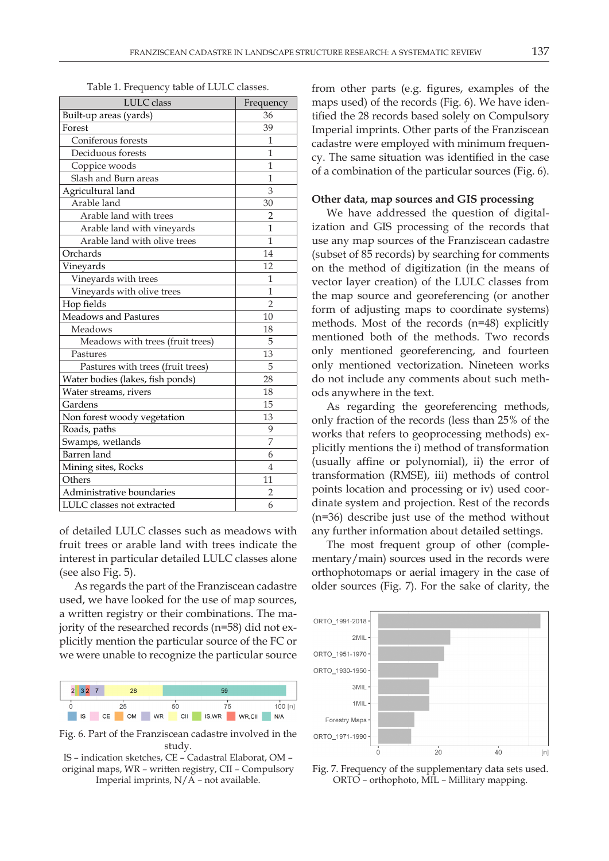Table 1. Frequency table of LULC classes.

| LULC class                        | Frequency      |
|-----------------------------------|----------------|
| Built-up areas (yards)            | 36             |
| Forest                            | 39             |
| Coniferous forests                | 1              |
| Deciduous forests                 | 1              |
| Coppice woods                     | $\mathbf{1}$   |
| Slash and Burn areas              | 1              |
| Agricultural land                 | 3              |
| Arable land                       | 30             |
| Arable land with trees            | $\overline{2}$ |
| Arable land with vineyards        | 1              |
| Arable land with olive trees      | $\mathbf{1}$   |
| Orchards                          | 14             |
| Vinevards                         | 12             |
| Vineyards with trees              | 1              |
| Vineyards with olive trees        | $\mathbf{1}$   |
| Hop fields                        | $\overline{2}$ |
| <b>Meadows and Pastures</b>       | 10             |
| Meadows                           | 18             |
| Meadows with trees (fruit trees)  | 5              |
| Pastures                          | 13             |
| Pastures with trees (fruit trees) | 5              |
| Water bodies (lakes, fish ponds)  | 28             |
| Water streams, rivers             | 18             |
| Gardens                           | 15             |
| Non forest woody vegetation       | 13             |
| Roads, paths                      | 9              |
| Swamps, wetlands                  | $\overline{7}$ |
| Barren land                       | 6              |
| Mining sites, Rocks               | $\overline{4}$ |
| Others                            | 11             |
| Administrative boundaries         | 2              |
| LULC classes not extracted        | 6              |

of detailed LULC classes such as meadows with fruit trees or arable land with trees indicate the interest in particular detailed LULC classes alone (see also Fig. 5).

As regards the part of the Franziscean cadastre used, we have looked for the use of map sources, a written registry or their combinations. The majority of the researched records (n=58) did not explicitly mention the particular source of the FC or we were unable to recognize the particular source



Fig. 6. Part of the Franziscean cadastre involved in the study.

IS – indication sketches, CE – Cadastral Elaborat, OM – original maps, WR – written registry, CII – Compulsory Imperial imprints, N/A – not available.

from other parts (e.g. figures, examples of the maps used) of the records (Fig. 6). We have identified the 28 records based solely on Compulsory Imperial imprints. Other parts of the Franziscean cadastre were employed with minimum frequency. The same situation was identified in the case of a combination of the particular sources (Fig. 6).

### **Other data, map sources and GIS processing**

We have addressed the question of digitalization and GIS processing of the records that use any map sources of the Franziscean cadastre (subset of 85 records) by searching for comments on the method of digitization (in the means of vector layer creation) of the LULC classes from the map source and georeferencing (or another form of adjusting maps to coordinate systems) methods. Most of the records (n=48) explicitly mentioned both of the methods. Two records only mentioned georeferencing, and fourteen only mentioned vectorization. Nineteen works do not include any comments about such methods anywhere in the text.

As regarding the georeferencing methods, only fraction of the records (less than 25% of the works that refers to geoprocessing methods) explicitly mentions the i) method of transformation (usually affine or polynomial), ii) the error of transformation (RMSE), iii) methods of control points location and processing or iv) used coordinate system and projection. Rest of the records (n=36) describe just use of the method without any further information about detailed settings.

The most frequent group of other (complementary/main) sources used in the records were orthophotomaps or aerial imagery in the case of older sources (Fig. 7). For the sake of clarity, the



Fig. 7. Frequency of the supplementary data sets used. ORTO – orthophoto, MIL – Millitary mapping.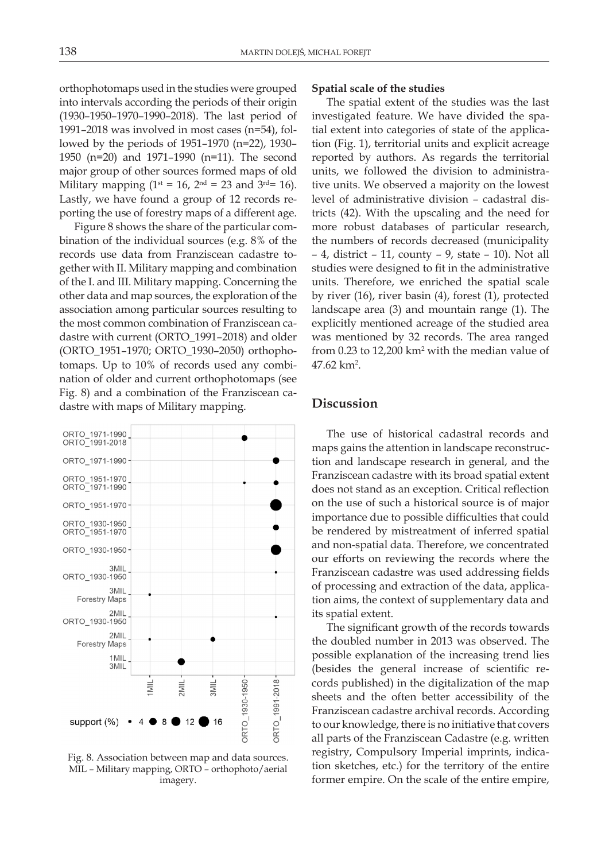orthophotomaps used in the studies were grouped into intervals according the periods of their origin (1930–1950–1970–1990–2018). The last period of 1991–2018 was involved in most cases (n=54), followed by the periods of 1951–1970 (n=22), 1930– 1950 (n=20) and 1971–1990 (n=11). The second major group of other sources formed maps of old Military mapping ( $1^{st} = 16$ ,  $2^{nd} = 23$  and  $3^{rd} = 16$ ). Lastly, we have found a group of 12 records reporting the use of forestry maps of a different age.

Figure 8 shows the share of the particular combination of the individual sources (e.g. 8% of the records use data from Franziscean cadastre together with II. Military mapping and combination of the I. and III. Military mapping. Concerning the other data and map sources, the exploration of the association among particular sources resulting to the most common combination of Franziscean cadastre with current (ORTO\_1991–2018) and older (ORTO\_1951–1970; ORTO\_1930–2050) orthophotomaps. Up to 10% of records used any combination of older and current orthophotomaps (see Fig. 8) and a combination of the Franziscean cadastre with maps of Military mapping.



Fig. 8. Association between map and data sources. MIL – Military mapping, ORTO – orthophoto/aerial imagery.

### **Spatial scale of the studies**

The spatial extent of the studies was the last investigated feature. We have divided the spatial extent into categories of state of the application (Fig. 1), territorial units and explicit acreage reported by authors. As regards the territorial units, we followed the division to administrative units. We observed a majority on the lowest level of administrative division – cadastral districts (42). With the upscaling and the need for more robust databases of particular research, the numbers of records decreased (municipality – 4, district – 11, county – 9, state – 10). Not all studies were designed to fit in the administrative units. Therefore, we enriched the spatial scale by river (16), river basin (4), forest (1), protected landscape area (3) and mountain range (1). The explicitly mentioned acreage of the studied area was mentioned by 32 records. The area ranged from  $0.23$  to  $12,200$  km<sup>2</sup> with the median value of  $47.62 \mathrm{~km^2}$ .

## **Discussion**

The use of historical cadastral records and maps gains the attention in landscape reconstruction and landscape research in general, and the Franziscean cadastre with its broad spatial extent does not stand as an exception. Critical reflection on the use of such a historical source is of major importance due to possible difficulties that could be rendered by mistreatment of inferred spatial and non-spatial data. Therefore, we concentrated our efforts on reviewing the records where the Franziscean cadastre was used addressing fields of processing and extraction of the data, application aims, the context of supplementary data and its spatial extent.

The significant growth of the records towards the doubled number in 2013 was observed. The possible explanation of the increasing trend lies (besides the general increase of scientific records published) in the digitalization of the map sheets and the often better accessibility of the Franziscean cadastre archival records. According to our knowledge, there is no initiative that covers all parts of the Franziscean Cadastre (e.g. written registry, Compulsory Imperial imprints, indication sketches, etc.) for the territory of the entire former empire. On the scale of the entire empire,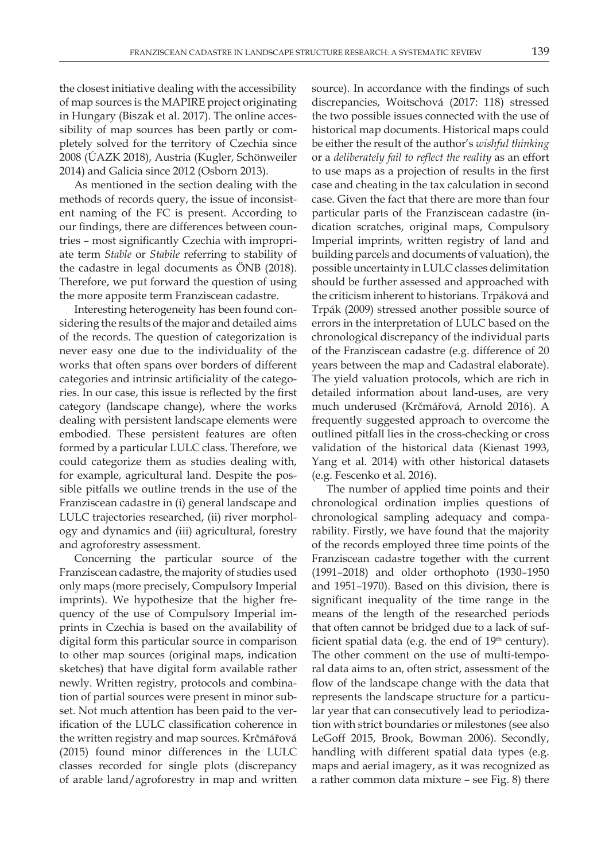the closest initiative dealing with the accessibility of map sources is the MAPIRE project originating in Hungary (Biszak et al. 2017). The online accessibility of map sources has been partly or completely solved for the territory of Czechia since 2008 (ÚAZK 2018), Austria (Kugler, Schönweiler 2014) and Galicia since 2012 (Osborn 2013).

As mentioned in the section dealing with the methods of records query, the issue of inconsistent naming of the FC is present. According to our findings, there are differences between countries – most significantly Czechia with impropriate term *Stable* or *Stabile* referring to stability of the cadastre in legal documents as ÖNB (2018). Therefore, we put forward the question of using the more apposite term Franziscean cadastre.

Interesting heterogeneity has been found considering the results of the major and detailed aims of the records. The question of categorization is never easy one due to the individuality of the works that often spans over borders of different categories and intrinsic artificiality of the categories. In our case, this issue is reflected by the first category (landscape change), where the works dealing with persistent landscape elements were embodied. These persistent features are often formed by a particular LULC class. Therefore, we could categorize them as studies dealing with, for example, agricultural land. Despite the possible pitfalls we outline trends in the use of the Franziscean cadastre in (i) general landscape and LULC trajectories researched, (ii) river morphology and dynamics and (iii) agricultural, forestry and agroforestry assessment.

Concerning the particular source of the Franziscean cadastre, the majority of studies used only maps (more precisely, Compulsory Imperial imprints). We hypothesize that the higher frequency of the use of Compulsory Imperial imprints in Czechia is based on the availability of digital form this particular source in comparison to other map sources (original maps, indication sketches) that have digital form available rather newly. Written registry, protocols and combination of partial sources were present in minor subset. Not much attention has been paid to the verification of the LULC classification coherence in the written registry and map sources. Krčmářová (2015) found minor differences in the LULC classes recorded for single plots (discrepancy of arable land/agroforestry in map and written

source). In accordance with the findings of such discrepancies, Woitschová (2017: 118) stressed the two possible issues connected with the use of historical map documents. Historical maps could be either the result of the author's *wishful thinking* or a *deliberately fail to reflect the reality* as an effort to use maps as a projection of results in the first case and cheating in the tax calculation in second case. Given the fact that there are more than four particular parts of the Franziscean cadastre (indication scratches, original maps, Compulsory Imperial imprints, written registry of land and building parcels and documents of valuation), the possible uncertainty in LULC classes delimitation should be further assessed and approached with the criticism inherent to historians. Trpáková and Trpák (2009) stressed another possible source of errors in the interpretation of LULC based on the chronological discrepancy of the individual parts of the Franziscean cadastre (e.g. difference of 20 years between the map and Cadastral elaborate). The yield valuation protocols, which are rich in detailed information about land-uses, are very much underused (Krčmářová, Arnold 2016). A frequently suggested approach to overcome the outlined pitfall lies in the cross-checking or cross validation of the historical data (Kienast 1993, Yang et al. 2014) with other historical datasets (e.g. Fescenko et al. 2016).

The number of applied time points and their chronological ordination implies questions of chronological sampling adequacy and comparability. Firstly, we have found that the majority of the records employed three time points of the Franziscean cadastre together with the current (1991–2018) and older orthophoto (1930–1950 and 1951–1970). Based on this division, there is significant inequality of the time range in the means of the length of the researched periods that often cannot be bridged due to a lack of sufficient spatial data (e.g. the end of  $19<sup>th</sup>$  century). The other comment on the use of multi-temporal data aims to an, often strict, assessment of the flow of the landscape change with the data that represents the landscape structure for a particular year that can consecutively lead to periodization with strict boundaries or milestones (see also LeGoff 2015, Brook, Bowman 2006). Secondly, handling with different spatial data types (e.g. maps and aerial imagery, as it was recognized as a rather common data mixture – see Fig. 8) there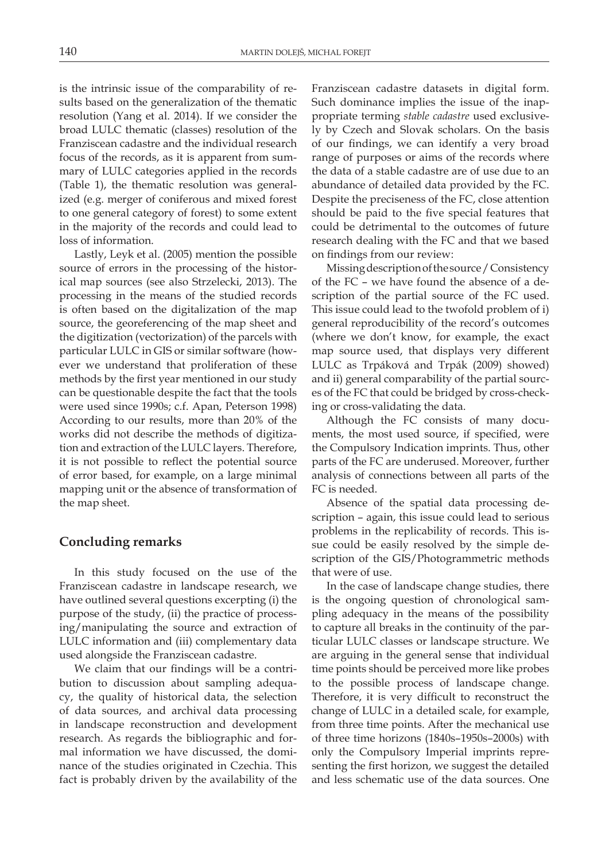is the intrinsic issue of the comparability of results based on the generalization of the thematic resolution (Yang et al. 2014). If we consider the broad LULC thematic (classes) resolution of the Franziscean cadastre and the individual research focus of the records, as it is apparent from summary of LULC categories applied in the records (Table 1), the thematic resolution was generalized (e.g. merger of coniferous and mixed forest to one general category of forest) to some extent in the majority of the records and could lead to loss of information.

Lastly, Leyk et al. (2005) mention the possible source of errors in the processing of the historical map sources (see also Strzelecki, 2013). The processing in the means of the studied records is often based on the digitalization of the map source, the georeferencing of the map sheet and the digitization (vectorization) of the parcels with particular LULC in GIS or similar software (however we understand that proliferation of these methods by the first year mentioned in our study can be questionable despite the fact that the tools were used since 1990s; c.f. Apan, Peterson 1998) According to our results, more than 20% of the works did not describe the methods of digitization and extraction of the LULC layers. Therefore, it is not possible to reflect the potential source of error based, for example, on a large minimal mapping unit or the absence of transformation of the map sheet.

### **Concluding remarks**

In this study focused on the use of the Franziscean cadastre in landscape research, we have outlined several questions excerpting (i) the purpose of the study, (ii) the practice of processing/manipulating the source and extraction of LULC information and (iii) complementary data used alongside the Franziscean cadastre.

We claim that our findings will be a contribution to discussion about sampling adequacy, the quality of historical data, the selection of data sources, and archival data processing in landscape reconstruction and development research. As regards the bibliographic and formal information we have discussed, the dominance of the studies originated in Czechia. This fact is probably driven by the availability of the Franziscean cadastre datasets in digital form. Such dominance implies the issue of the inappropriate terming *stable cadastre* used exclusively by Czech and Slovak scholars. On the basis of our findings, we can identify a very broad range of purposes or aims of the records where the data of a stable cadastre are of use due to an abundance of detailed data provided by the FC. Despite the preciseness of the FC, close attention should be paid to the five special features that could be detrimental to the outcomes of future research dealing with the FC and that we based on findings from our review:

Missing description of the source / Consistency of the FC – we have found the absence of a description of the partial source of the FC used. This issue could lead to the twofold problem of i) general reproducibility of the record's outcomes (where we don't know, for example, the exact map source used, that displays very different LULC as Trpáková and Trpák (2009) showed) and ii) general comparability of the partial sources of the FC that could be bridged by cross-checking or cross-validating the data.

Although the FC consists of many documents, the most used source, if specified, were the Compulsory Indication imprints. Thus, other parts of the FC are underused. Moreover, further analysis of connections between all parts of the FC is needed.

Absence of the spatial data processing description – again, this issue could lead to serious problems in the replicability of records. This issue could be easily resolved by the simple description of the GIS/Photogrammetric methods that were of use.

In the case of landscape change studies, there is the ongoing question of chronological sampling adequacy in the means of the possibility to capture all breaks in the continuity of the particular LULC classes or landscape structure. We are arguing in the general sense that individual time points should be perceived more like probes to the possible process of landscape change. Therefore, it is very difficult to reconstruct the change of LULC in a detailed scale, for example, from three time points. After the mechanical use of three time horizons (1840s–1950s–2000s) with only the Compulsory Imperial imprints representing the first horizon, we suggest the detailed and less schematic use of the data sources. One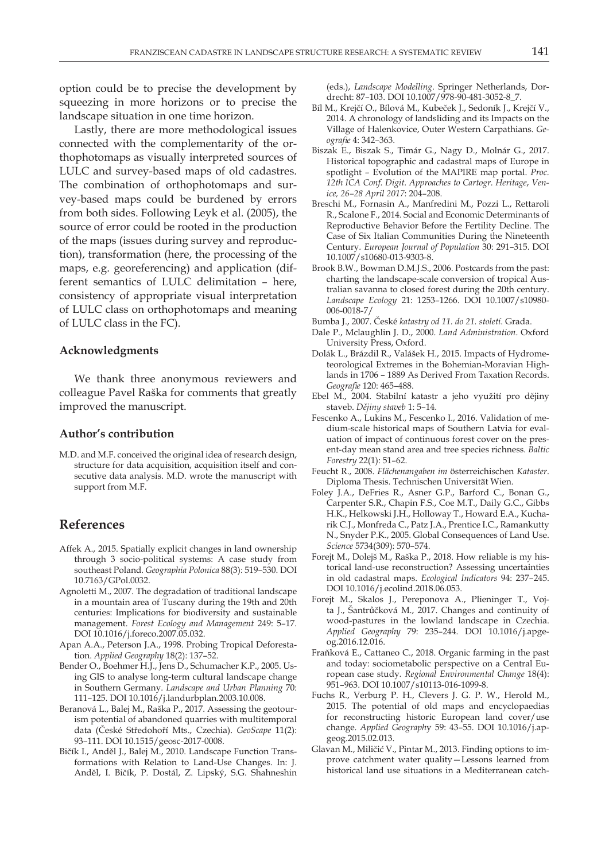option could be to precise the development by squeezing in more horizons or to precise the landscape situation in one time horizon.

Lastly, there are more methodological issues connected with the complementarity of the orthophotomaps as visually interpreted sources of LULC and survey-based maps of old cadastres. The combination of orthophotomaps and survey-based maps could be burdened by errors from both sides. Following Leyk et al. (2005), the source of error could be rooted in the production of the maps (issues during survey and reproduction), transformation (here, the processing of the maps, e.g. georeferencing) and application (different semantics of LULC delimitation – here, consistency of appropriate visual interpretation of LULC class on orthophotomaps and meaning of LULC class in the FC).

#### **Acknowledgments**

We thank three anonymous reviewers and colleague Pavel Raška for comments that greatly improved the manuscript.

### **Author's contribution**

M.D. and M.F. conceived the original idea of research design, structure for data acquisition, acquisition itself and consecutive data analysis. M.D. wrote the manuscript with support from M.F.

## **References**

- Affek A., 2015. Spatially explicit changes in land ownership through 3 socio-political systems: A case study from southeast Poland*. Geographia Polonica* 88(3): 519–530. DOI 10.7163/GPol.0032.
- Agnoletti M., 2007. The degradation of traditional landscape in a mountain area of Tuscany during the 19th and 20th centuries: Implications for biodiversity and sustainable management. *Forest Ecology and Management* 249: 5–17. DOI 10.1016/j.foreco.2007.05.032.
- Apan A.A., Peterson J.A., 1998. Probing Tropical Deforestation. *Applied Geography* 18(2): 137–52.
- Bender O., Boehmer H.J., Jens D., Schumacher K.P., 2005. Using GIS to analyse long-term cultural landscape change in Southern Germany. *Landscape and Urban Planning* 70: 111–125. DOI 10.1016/j.landurbplan.2003.10.008.
- Beranová L., Balej M., Raška P., 2017. Assessing the geotourism potential of abandoned quarries with multitemporal data (České Středohoří Mts., Czechia). *GeoScape* 11(2): 93–111. DOI 10.1515/geosc-2017-0008.
- Bičík I., Anděl J., Balej M., 2010. Landscape Function Transformations with Relation to Land-Use Changes. In: J. Anděl, I. Bičík, P. Dostál, Z. Lipský, S.G. Shahneshin

(eds.), *Landscape Modelling*. Springer Netherlands, Dordrecht: 87–103. DOI 10.1007/978-90-481-3052-8\_7.

- Bíl M., Krejčí O., Bílová M., Kubeček J., Sedoník J., Krejčí V., 2014. A chronology of landsliding and its Impacts on the Village of Halenkovice, Outer Western Carpathians*. Geografie* 4: 342–363.
- Biszak E., Biszak S., Timár G., Nagy D., Molnár G., 2017. Historical topographic and cadastral maps of Europe in spotlight – Evolution of the MAPIRE map portal. *Proc. 12th ICA Conf. Digit. Approaches to Cartogr. Heritage*, *Venice, 26–28 April 2017*: 204–208.
- Breschi M., Fornasin A., Manfredini M., Pozzi L., Rettaroli R., Scalone F., 2014. Social and Economic Determinants of Reproductive Behavior Before the Fertility Decline. The Case of Six Italian Communities During the Nineteenth Century*. European Journal of Population* 30: 291–315. DOI 10.1007/s10680-013-9303-8.
- Brook B.W., Bowman D.M.J.S., 2006. Postcards from the past: charting the landscape-scale conversion of tropical Australian savanna to closed forest during the 20th century. *Landscape Ecology* 21: 1253–1266. DOI 10.1007/s10980- 006-0018-7/
- Bumba J., 2007. České *katastry od 11. do 21. století*. Grada.
- Dale P., Mclaughlin J. D., 2000. *Land Administration*. Oxford University Press, Oxford.
- Dolák L., Brázdil R., Valášek H., 2015. Impacts of Hydrometeorological Extremes in the Bohemian-Moravian Highlands in 1706 – 1889 As Derived From Taxation Records. *Geografie* 120: 465–488.
- Ebel M., 2004. Stabilní katastr a jeho využití pro dějiny staveb. *Dějiny staveb* 1: 5–14.
- Fescenko A., Lukins M., Fescenko I., 2016. Validation of medium-scale historical maps of Southern Latvia for evaluation of impact of continuous forest cover on the present-day mean stand area and tree species richness. *Baltic Forestry* 22(1): 51–62.
- Feucht R., 2008. *Flächenangaben im* österreichischen *Kataster*. Diploma Thesis. Technischen Universität Wien.
- Foley J.A., DeFries R., Asner G.P., Barford C., Bonan G., Carpenter S.R., Chapin F.S., Coe M.T., Daily G.C., Gibbs H.K., Helkowski J.H., Holloway T., Howard E.A., Kucharik C.J., Monfreda C., Patz J.A., Prentice I.C., Ramankutty N., Snyder P.K., 2005. Global Consequences of Land Use. *Science* 5734(309): 570–574.
- Forejt M., Dolejš M., Raška P., 2018. How reliable is my historical land-use reconstruction? Assessing uncertainties in old cadastral maps. *Ecological Indicators* 94: 237–245. DOI 10.1016/j.ecolind.2018.06.053.
- Forejt M., Skalos J., Pereponova A., Plieninger T., Vojta J., Šantrůčková M., 2017. Changes and continuity of wood-pastures in the lowland landscape in Czechia. *Applied Geography* 79: 235–244. DOI 10.1016/j.apgeog.2016.12.016.
- Fraňková E., Cattaneo C., 2018. Organic farming in the past and today: sociometabolic perspective on a Central European case study*. Regional Environmental Change* 18(4): 951–963. DOI 10.1007/s10113-016-1099-8.
- Fuchs R., Verburg P. H., Clevers J. G. P. W., Herold M., 2015. The potential of old maps and encyclopaedias for reconstructing historic European land cover/use change. *Applied Geograph*y 59: 43–55. DOI 10.1016/j.apgeog.2015.02.013.
- Glavan M., Miličić V., Pintar M., 2013. Finding options to improve catchment water quality—Lessons learned from historical land use situations in a Mediterranean catch-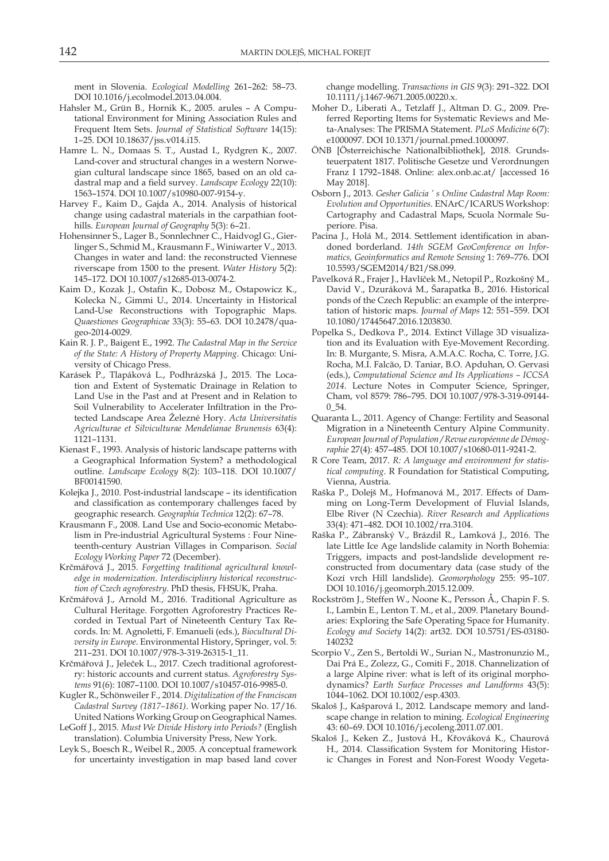ment in Slovenia. *Ecological Modelling* 261–262: 58–73. DOI 10.1016/j.ecolmodel.2013.04.004.

- Hahsler M., Grün B., Hornik K., 2005. arules A Computational Environment for Mining Association Rules and Frequent Item Sets. *Journal of Statistical Software* 14(15): 1–25. DOI 10.18637/jss.v014.i15.
- Hamre L. N., Domaas S. T., Austad I., Rydgren K., 2007. Land-cover and structural changes in a western Norwegian cultural landscape since 1865, based on an old cadastral map and a field survey. *Landscape Ecology* 22(10): 1563–1574. DOI 10.1007/s10980-007-9154-y.
- Harvey F., Kaim D., Gajda A., 2014. Analysis of historical change using cadastral materials in the carpathian foothills. *European Journal of Geography* 5(3): 6–21.
- Hohensinner S., Lager B., Sonnlechner C., Haidvogl G., Gierlinger S., Schmid M., Krausmann F., Winiwarter V., 2013. Changes in water and land: the reconstructed Viennese riverscape from 1500 to the present. *Water History* 5(2): 145–172. DOI 10.1007/s12685-013-0074-2.
- Kaim D., Kozak J., Ostafin K., Dobosz M., Ostapowicz K., Kolecka N., Gimmi U., 2014. Uncertainty in Historical Land-Use Reconstructions with Topographic Maps. *Quaestiones Geographicae* 33(3): 55–63. DOI 10.2478/quageo-2014-0029.
- Kain R. J. P., Baigent E., 1992. *The Cadastral Map in the Service of the State: A History of Property Mapping*. Chicago: University of Chicago Press.
- Karásek P., Tlapáková L., Podhrázská J., 2015. The Location and Extent of Systematic Drainage in Relation to Land Use in the Past and at Present and in Relation to Soil Vulnerability to Accelerater Infiltration in the Protected Landscape Area Železné Hory. *Acta Universitatis Agriculturae et Silviculturae Mendelianae Brunensis* 63(4): 1121–1131.
- Kienast F., 1993. Analysis of historic landscape patterns with a Geographical Information System? a methodological outline. *Landscape Ecology* 8(2): 103–118. DOI 10.1007/ BF00141590.
- Kolejka J., 2010. Post-industrial landscape its identification and classification as contemporary challenges faced by geographic research*. Geographia Technica* 12(2): 67–78.
- Krausmann F., 2008. Land Use and Socio-economic Metabolism in Pre-industrial Agricultural Systems : Four Nineteenth-century Austrian Villages in Comparison. *Social Ecology Working Paper* 72 (December).
- Krčmářová J., 2015. *Forgetting traditional agricultural knowledge in modernization. Interdisciplinry historical reconstruction of Czech agroforestry*. PhD thesis, FHSUK, Praha.
- Krčmářová J., Arnold M., 2016. Traditional Agriculture as Cultural Heritage. Forgotten Agroforestry Practices Recorded in Textual Part of Nineteenth Century Tax Records. In: M. Agnoletti, F. Emanueli (eds.), *Biocultural Diversity in Europe*. Environmental History, Springer, vol. 5: 211–231. DOI 10.1007/978-3-319-26315-1\_11.
- Krčmářová J., Jeleček L., 2017. Czech traditional agroforestry: historic accounts and current status. *Agroforestry Systems* 91(6): 1087–1100. DOI 10.1007/s10457-016-9985-0.
- Kugler R., Schönweiler F., 2014. *Digitalization of the Franciscan Cadastral Survey (1817–1861)*. Working paper No. 17/16. United Nations Working Group on Geographical Names.
- LeGoff J., 2015*. Must We Divide History into Periods?* (English translation). Columbia University Press, New York.
- Leyk S., Boesch R., Weibel R., 2005. A conceptual framework for uncertainty investigation in map based land cover

change modelling. *Transactions in GIS* 9(3): 291–322. DOI 10.1111/j.1467-9671.2005.00220.x.

- Moher D., Liberati A., Tetzlaff J., Altman D. G., 2009. Preferred Reporting Items for Systematic Reviews and Meta-Analyses: The PRISMA Statement. *PLoS Medicine* 6(7): e1000097. DOI 10.1371/journal.pmed.1000097.
- ÖNB [Österreichische Nationalbibliothek], 2018. Grundsteuerpatent 1817. Politische Gesetze und Verordnungen Franz I 1792–1848. Online: alex.onb.ac.at/ [accessed 16 May 2018].
- Osborn J., 2013. *Gesher Galicia ' s Online Cadastral Map Room: Evolution and Opportunities*. ENArC/ICARUS Workshop: Cartography and Cadastral Maps, Scuola Normale Superiore. Pisa.
- Pacina J., Holá M., 2014. Settlement identification in abandoned borderland. *14th SGEM GeoConference on Informatics, Geoinformatics and Remote Sensing* 1: 769–776. DOI 10.5593/SGEM2014/B21/S8.099.
- Pavelková R., Frajer J., Havlíček M., Netopil P., Rozkošný M., David V., Dzuráková M., Šarapatka B., 2016. Historical ponds of the Czech Republic: an example of the interpretation of historic maps. *Journal of Maps* 12: 551–559. DOI 10.1080/17445647.2016.1203830.
- Popelka S., Dedkova P., 2014. Extinct Village 3D visualization and its Evaluation with Eye-Movement Recording. In: B. Murgante, S. Misra, A.M.A.C. Rocha, C. Torre, J.G. Rocha, M.I. Falcão, D. Taniar, B.O. Apduhan, O. Gervasi (eds.), *Computational Science and Its Applications – ICCSA 2014*. Lecture Notes in Computer Science, Springer, Cham, vol 8579: 786–795. DOI 10.1007/978-3-319-09144- 0\_54.
- Quaranta L., 2011. Agency of Change: Fertility and Seasonal Migration in a Nineteenth Century Alpine Community. *European Journal of Population / Revue européenne de Démographie* 27(4): 457–485. DOI 10.1007/s10680-011-9241-2.
- R Core Team, 2017. *R: A language and environment for statistical computing*. R Foundation for Statistical Computing, Vienna, Austria.
- Raška P., Dolejš M., Hofmanová M., 2017. Effects of Damming on Long-Term Development of Fluvial Islands, Elbe River (N Czechia). *River Research and Applications* 33(4): 471–482. DOI 10.1002/rra.3104.
- Raška P., Zábranský V., Brázdil R., Lamková J., 2016. The late Little Ice Age landslide calamity in North Bohemia: Triggers, impacts and post-landslide development reconstructed from documentary data (case study of the Kozí vrch Hill landslide). *Geomorphology* 255: 95–107. DOI 10.1016/j.geomorph.2015.12.009.
- Rockström J., Steffen W., Noone K., Persson Å., Chapin F. S. I., Lambin E., Lenton T. M., et al., 2009. Planetary Boundaries: Exploring the Safe Operating Space for Humanity. *Ecology and Society* 14(2): art32. DOI 10.5751/ES-03180- 140232
- Scorpio V., Zen S., Bertoldi W., Surian N., Mastronunzio M., Dai Prá E., Zolezz, G., Comiti F., 2018. Channelization of a large Alpine river: what is left of its original morphodynamics? *Earth Surface Processes and Landforms* 43(5): 1044–1062. DOI 10.1002/esp.4303.
- Skaloš J., Kašparová I., 2012. Landscape memory and landscape change in relation to mining. *Ecological Engineering* 43: 60–69. DOI 10.1016/j.ecoleng.2011.07.001.
- Skaloš J., Keken Z., Justová H., Křováková K., Chaurová H., 2014. Classification System for Monitoring Historic Changes in Forest and Non-Forest Woody Vegeta-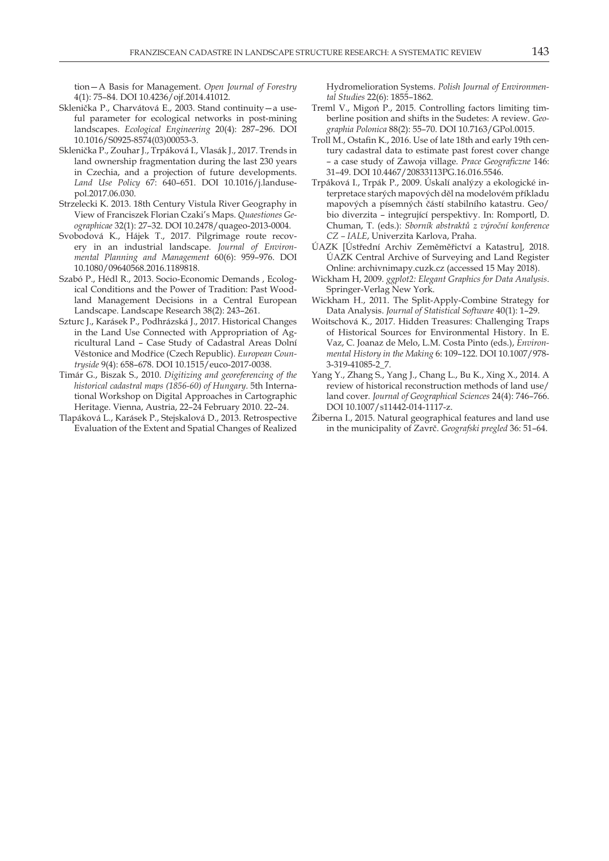tion—A Basis for Management. *Open Journal of Forestry* 4(1): 75–84. DOI 10.4236/ojf.2014.41012.

- Sklenička P., Charvátová E., 2003. Stand continuity—a useful parameter for ecological networks in post-mining landscapes. *Ecological Engineering* 20(4): 287–296. DOI 10.1016/S0925-8574(03)00053-3.
- Sklenička P., Zouhar J., Trpáková I., Vlasák J., 2017. Trends in land ownership fragmentation during the last 230 years in Czechia, and a projection of future developments. *Land Use Policy* 67: 640–651. DOI 10.1016/j.landusepol.2017.06.030.
- Strzelecki K. 2013. 18th Century Vistula River Geography in View of Franciszek Florian Czaki's Maps. *Quaestiones Geographicae* 32(1): 27–32. DOI 10.2478/quageo-2013-0004.
- Svobodová K., Hájek T., 2017. Pilgrimage route recovery in an industrial landscape. *Journal of Environmental Planning and Management* 60(6): 959–976. DOI 10.1080/09640568.2016.1189818.
- Szabó P., Hédl R., 2013. Socio-Economic Demands , Ecological Conditions and the Power of Tradition: Past Woodland Management Decisions in a Central European Landscape. Landscape Research 38(2): 243–261.
- Szturc J., Karásek P., Podhrázská J., 2017. Historical Changes in the Land Use Connected with Appropriation of Agricultural Land – Case Study of Cadastral Areas Dolní Věstonice and Modřice (Czech Republic). *European Countryside* 9(4): 658–678. DOI 10.1515/euco-2017-0038.
- Timár G., Biszak S., 2010. *Digitizing and georeferencing of the historical cadastral maps (1856-60) of Hungary*. 5th International Workshop on Digital Approaches in Cartographic Heritage. Vienna, Austria, 22–24 February 2010. 22–24.
- Tlapáková L., Karásek P., Stejskalová D., 2013. Retrospective Evaluation of the Extent and Spatial Changes of Realized

Hydromelioration Systems. *Polish Journal of Environmental Studies* 22(6): 1855–1862.

- Treml V., Migoń P., 2015. Controlling factors limiting timberline position and shifts in the Sudetes: A review. *Geographia Polonica* 88(2): 55–70. DOI 10.7163/GPol.0015.
- Troll M., Ostafin K., 2016. Use of late 18th and early 19th century cadastral data to estimate past forest cover change – a case study of Zawoja village. *Prace Geograficzne* 146: 31–49. DOI 10.4467/20833113PG.16.016.5546.
- Trpáková I., Trpák P., 2009. Úskalí analýzy a ekologické interpretace starých mapových děl na modelovém příkladu mapových a písemných částí stabilního katastru. Geo/ bio diverzita – integrující perspektivy. In: Romportl, D. Chuman, T. (eds.): *Sborník abstraktů z výroční konference CZ – IALE*, Univerzita Karlova, Praha.
- ÚAZK [Ústřední Archiv Zeměměřictví a Katastru], 2018. ÚAZK Central Archive of Surveying and Land Register Online: archivnimapy.cuzk.cz (accessed 15 May 2018).
- Wickham H, 2009. *ggplot2: Elegant Graphics for Data Analysis*. Springer-Verlag New York.
- Wickham H., 2011. The Split-Apply-Combine Strategy for Data Analysis. *Journal of Statistical Software* 40(1): 1–29.
- Woitschová K., 2017. Hidden Treasures: Challenging Traps of Historical Sources for Environmental History. In E. Vaz, C. Joanaz de Melo, L.M. Costa Pinto (eds.), *Environmental History in the Making* 6: 109–122. DOI 10.1007/978- 3-319-41085-2\_7.
- Yang Y., Zhang S., Yang J., Chang L., Bu K., Xing X., 2014. A review of historical reconstruction methods of land use/ land cover*. Journal of Geographical Sciences* 24(4): 746–766. DOI 10.1007/s11442-014-1117-z.
- Žiberna I., 2015. Natural geographical features and land use in the municipality of Zavrč. *Geografski pregled* 36: 51–64.